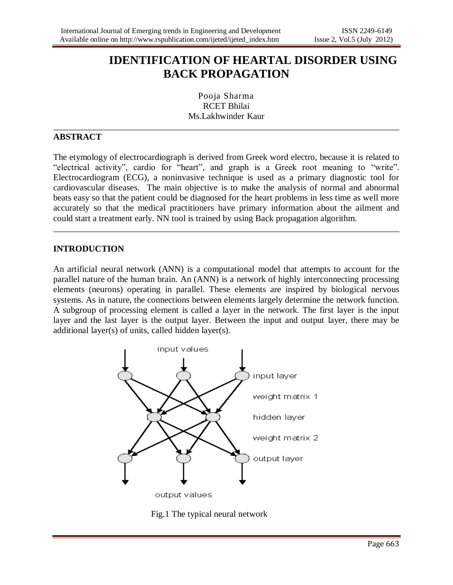# **IDENTIFICATION OF HEARTAL DISORDER USING BACK PROPAGATION**

Pooja Sharma RCET Bhilai Ms.Lakhwinder Kaur

\_\_\_\_\_\_\_\_\_\_\_\_\_\_\_\_\_\_\_\_\_\_\_\_\_\_\_\_\_\_\_\_\_\_\_\_\_\_\_\_\_\_\_\_\_\_\_\_\_\_\_\_\_\_\_\_\_\_\_\_\_\_\_\_\_\_\_\_\_\_\_\_\_\_\_\_\_\_

### **ABSTRACT**

The etymology of electrocardiograph is derived from Greek word electro, because it is related to "electrical activity", cardio for "heart", and graph is a Greek root meaning to "write". Electrocardiogram (ECG), a noninvasive technique is used as a primary diagnostic tool for cardiovascular diseases. The main objective is to make the analysis of normal and abnormal beats easy so that the patient could be diagnosed for the heart problems in less time as well more accurately so that the medical practitioners have primary information about the ailment and could start a treatment early. NN tool is trained by using Back propagation algorithm.

\_\_\_\_\_\_\_\_\_\_\_\_\_\_\_\_\_\_\_\_\_\_\_\_\_\_\_\_\_\_\_\_\_\_\_\_\_\_\_\_\_\_\_\_\_\_\_\_\_\_\_\_\_\_\_\_\_\_\_\_\_\_\_\_\_\_\_\_\_\_\_\_\_\_\_\_\_\_

#### **INTRODUCTION**

An artificial neural network (ANN) is a computational model that attempts to account for the parallel nature of the human brain. An (ANN) is a network of highly interconnecting processing elements (neurons) operating in parallel. These elements are inspired by biological nervous systems. As in nature, the connections between elements largely determine the network function. A subgroup of processing element is called a layer in the network. The first layer is the input layer and the last layer is the output layer. Between the input and output layer, there may be additional layer(s) of units, called hidden layer(s).



Fig.1 The typical neural network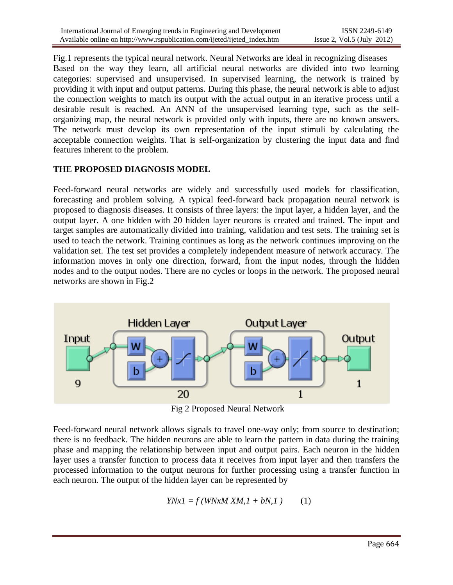Fig.1 represents the typical neural network. Neural Networks are ideal in recognizing diseases Based on the way they learn, all artificial neural networks are divided into two learning categories: supervised and unsupervised. In supervised learning, the network is trained by providing it with input and output patterns. During this phase, the neural network is able to adjust the connection weights to match its output with the actual output in an iterative process until a desirable result is reached. An ANN of the unsupervised learning type, such as the selforganizing map, the neural network is provided only with inputs, there are no known answers. The network must develop its own representation of the input stimuli by calculating the acceptable connection weights. That is self-organization by clustering the input data and find features inherent to the problem.

### **THE PROPOSED DIAGNOSIS MODEL**

Feed-forward neural networks are widely and successfully used models for classification, forecasting and problem solving. A typical feed-forward back propagation neural network is proposed to diagnosis diseases. It consists of three layers: the input layer, a hidden layer, and the output layer. A one hidden with 20 hidden layer neurons is created and trained. The input and target samples are automatically divided into training, validation and test sets. The training set is used to teach the network. Training continues as long as the network continues improving on the validation set. The test set provides a completely independent measure of network accuracy. The information moves in only one direction, forward, from the input nodes, through the hidden nodes and to the output nodes. There are no cycles or loops in the network. The proposed neural networks are shown in Fig.2



Fig 2 Proposed Neural Network

Feed-forward neural network allows signals to travel one-way only; from source to destination; there is no feedback. The hidden neurons are able to learn the pattern in data during the training phase and mapping the relationship between input and output pairs. Each neuron in the hidden layer uses a transfer function to process data it receives from input layer and then transfers the processed information to the output neurons for further processing using a transfer function in each neuron. The output of the hidden layer can be represented by

$$
YNxI = f(WNxM XM, I + bN, I) \tag{1}
$$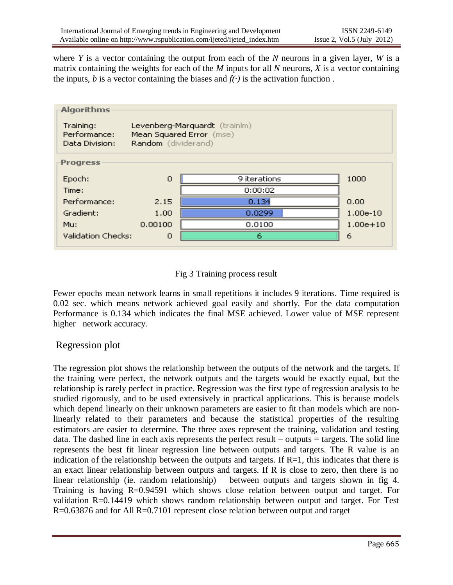where *Y* is a vector containing the output from each of the *N* neurons in a given layer, *W* is a matrix containing the weights for each of the *M* inputs for all *N* neurons, *X* is a vector containing the inputs, *b* is a vector containing the biases and  $f(\cdot)$  is the activation function.



## Fig 3 Training process result

Fewer epochs mean network learns in small repetitions it includes 9 iterations. Time required is 0.02 sec. which means network achieved goal easily and shortly. For the data computation Performance is 0.134 which indicates the final MSE achieved. Lower value of MSE represent higher network accuracy.

## Regression plot

The regression plot shows the relationship between the outputs of the network and the targets. If the training were perfect, the network outputs and the targets would be exactly equal, but the relationship is rarely perfect in practice. Regression was the first type of regression analysis to be studied rigorously, and to be used extensively in practical applications. This is because models which depend linearly on their unknown parameters are easier to fit than models which are nonlinearly related to their parameters and because the statistical properties of the resulting estimators are easier to determine. The three axes represent the training, validation and testing data. The dashed line in each axis represents the perfect result – outputs  $=$  targets. The solid line represents the best fit linear regression line between outputs and targets. The R value is an indication of the relationship between the outputs and targets. If  $R=1$ , this indicates that there is an exact linear relationship between outputs and targets. If R is close to zero, then there is no linear relationship (ie. random relationship) between outputs and targets shown in fig 4. Training is having R=0.94591 which shows close relation between output and target. For validation R=0.14419 which shows random relationship between output and target. For Test R=0.63876 and for All R=0.7101 represent close relation between output and target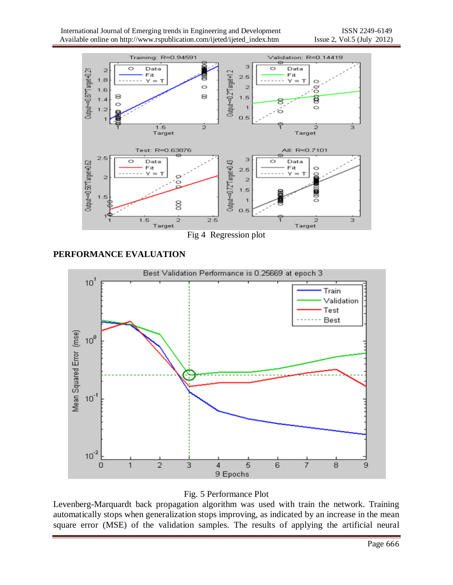

Fig 4 Regression plot

## **PERFORMANCE EVALUATION**



Fig. 5 Performance Plot

Levenberg-Marquardt back propagation algorithm was used with train the network. Training automatically stops when generalization stops improving, as indicated by an increase in the mean square error (MSE) of the validation samples. The results of applying the artificial neural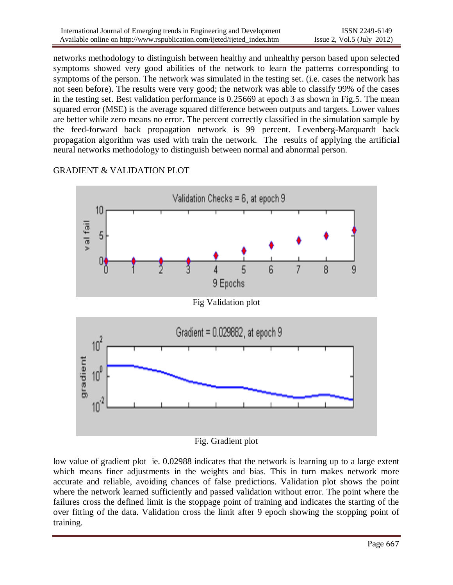networks methodology to distinguish between healthy and unhealthy person based upon selected symptoms showed very good abilities of the network to learn the patterns corresponding to symptoms of the person. The network was simulated in the testing set. (i.e. cases the network has not seen before). The results were very good; the network was able to classify 99% of the cases in the testing set. Best validation performance is 0.25669 at epoch 3 as shown in Fig.5. The mean squared error (MSE) is the average squared difference between outputs and targets. Lower values are better while zero means no error. The percent correctly classified in the simulation sample by the feed-forward back propagation network is 99 percent. Levenberg-Marquardt back propagation algorithm was used with train the network. The results of applying the artificial neural networks methodology to distinguish between normal and abnormal person.

## GRADIENT & VALIDATION PLOT



Fig. Gradient plot

low value of gradient plot ie. 0.02988 indicates that the network is learning up to a large extent which means finer adjustments in the weights and bias. This in turn makes network more accurate and reliable, avoiding chances of false predictions. Validation plot shows the point where the network learned sufficiently and passed validation without error. The point where the failures cross the defined limit is the stoppage point of training and indicates the starting of the over fitting of the data. Validation cross the limit after 9 epoch showing the stopping point of training.